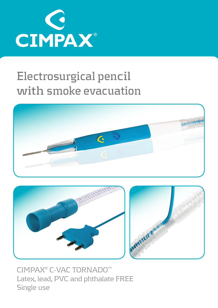

## **Electrosurgical pencil with smoke evacuation**





CIMPAX<sup>®</sup> C-VAC TORNADO<sup>™</sup> Latex, lead, PVC and phthalate FREE Single use